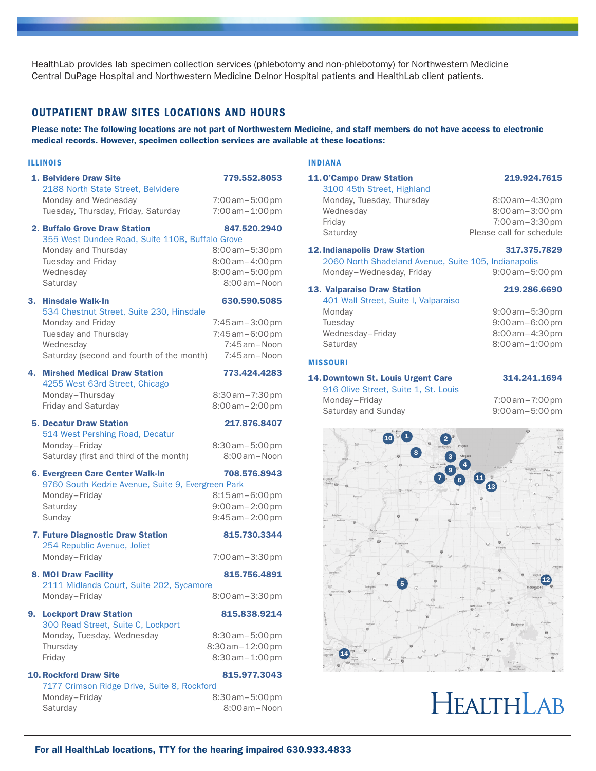HealthLab provides lab specimen collection services (phlebotomy and non-phlebotomy) for Northwestern Medicine Central DuPage Hospital and Northwestern Medicine Delnor Hospital patients and HealthLab client patients.

# OUTPATIENT DRAW SITES LOCATIONS AND HOURS

Please note: The following locations are not part of Northwestern Medicine, and staff members do not have access to electronic medical records. However, specimen collection services are available at these locations:

#### ILLINOIS

|    | 1. Belvidere Draw Site<br>2188 North State Street, Belvidere<br>Monday and Wednesday                                                            | 779.552.8053<br>$7:00$ am $-5:00$ pm                                                       |
|----|-------------------------------------------------------------------------------------------------------------------------------------------------|--------------------------------------------------------------------------------------------|
|    | Tuesday, Thursday, Friday, Saturday                                                                                                             | $7:00$ am $-1:00$ pm                                                                       |
|    | 2. Buffalo Grove Draw Station<br>355 West Dundee Road, Suite 110B, Buffalo Grove                                                                | 847.520.2940                                                                               |
|    | Monday and Thursday<br>Tuesday and Friday<br>Wednesday<br>Saturday                                                                              | $8:00$ am $-5:30$ pm<br>$8:00$ am $-4:00$ pm<br>$8:00$ am $-5:00$ pm<br>$8:00$ am $-$ Noon |
|    | 3. Hinsdale Walk-In                                                                                                                             | 630.590.5085                                                                               |
|    | 534 Chestnut Street, Suite 230, Hinsdale<br>Monday and Friday<br>Tuesday and Thursday<br>Wednesday<br>Saturday (second and fourth of the month) | 7:45 am - 3:00 pm<br>$7:45$ am $-6:00$ pm<br>7:45 am - Noon<br>$7:45$ am – Noon            |
| 4. | <b>Mirshed Medical Draw Station</b>                                                                                                             | 773.424.4283                                                                               |
|    | 4255 West 63rd Street, Chicago<br>Monday-Thursday<br>Friday and Saturday                                                                        | $8:30$ am $-7:30$ pm<br>$8:00$ am $-2:00$ pm                                               |
|    | <b>5. Decatur Draw Station</b><br>514 West Pershing Road, Decatur                                                                               | 217.876.8407                                                                               |
|    | Monday-Friday<br>Saturday (first and third of the month)                                                                                        | $8:30$ am $-5:00$ pm<br>8:00 am - Noon                                                     |
|    | 6. Evergreen Care Center Walk-In<br>9760 South Kedzie Avenue, Suite 9, Evergreen Park                                                           | 708.576.8943                                                                               |
|    | Monday-Friday                                                                                                                                   | $8:15$ am $-6:00$ pm                                                                       |
|    | Saturday<br>Sunday                                                                                                                              | $9:00$ am $-2:00$ pm<br>9:45 am - 2:00 pm                                                  |
|    | 7. Future Diagnostic Draw Station<br>254 Republic Avenue, Joliet                                                                                | 815.730.3344                                                                               |
|    | Monday-Friday                                                                                                                                   | $7:00$ am $-3:30$ pm                                                                       |
|    | <b>8. MOI Draw Facility</b><br>2111 Midlands Court, Suite 202, Sycamore                                                                         | 815.756.4891                                                                               |
|    | Monday-Friday                                                                                                                                   | 8:00 am - 3:30 pm                                                                          |
|    | 9. Lockport Draw Station<br>300 Read Street, Suite C, Lockport                                                                                  | 815.838.9214                                                                               |
|    | Monday, Tuesday, Wednesday                                                                                                                      | $8:30$ am $-5:00$ pm                                                                       |
|    | Thursday<br>Friday                                                                                                                              | 8:30 am - 12:00 pm<br>$8:30$ am $-1:00$ pm                                                 |
|    | <b>10. Rockford Draw Site</b>                                                                                                                   | 815.977.3043                                                                               |
|    | 7177 Crimson Ridge Drive, Suite 8, Rockford<br>Monday-Friday                                                                                    | $8:30$ am $-5:00$ pm                                                                       |
|    | Saturdav                                                                                                                                        | 8:00 am - Noon                                                                             |

#### INDIANA

# 11.O'Campo Draw Station 219.924.7615

3100 45th Street, Highland Monday, Tuesday, Thursday 8:00 am - 4:30 pm Wednesday 8:00 am – 3:00 pm Friday 7:00am–3:30pm Saturday **Please call for schedule** 

12.Indianapolis Draw Station 317.375.7829 2060 North Shadeland Avenue, Suite 105, Indianapolis Monday–Wednesday, Friday 9:00 am – 5:00 pm

## 13. Valparaiso Draw Station 219.286.6690

#### 401 Wall Street, Suite I, Valparaiso Monday 9:00am–5:30pm Tuesday 9:00am–6:00pm Wednesday-Friday 8:00 am - 4:30 pm Saturday 8:00 am - 1:00 pm

#### MISSOURI

### 14.Downtown St. Louis Urgent Care 314.241.1694

916 Olive Street, Suite 1, St. Louis Monday–Friday 7:00 am–7:00 pm Saturday and Sunday 8:00 am – 5:00 pm



# HEALTHLAB